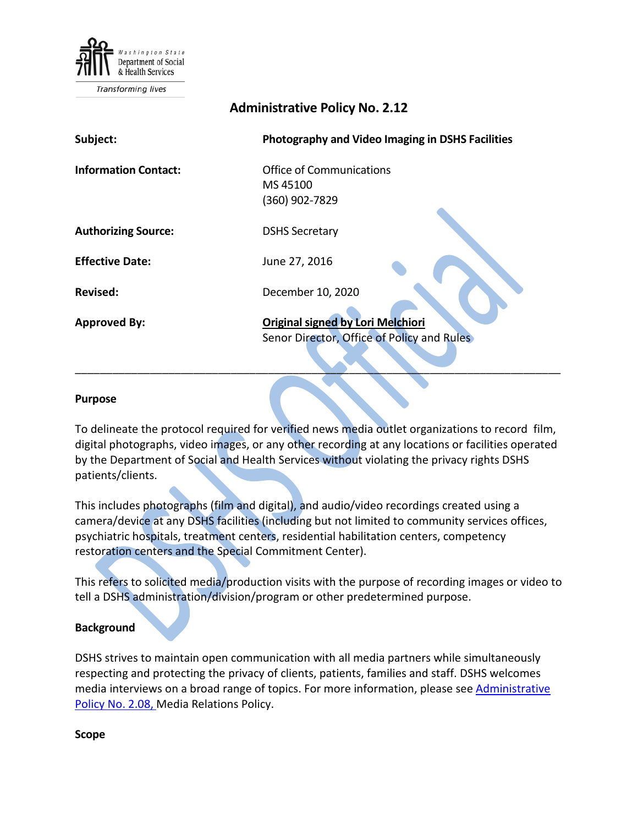

**Transforming lives** 

# **Administrative Policy No. 2.12**

| Subject:                    | <b>Photography and Video Imaging in DSHS Facilities</b>                                |
|-----------------------------|----------------------------------------------------------------------------------------|
| <b>Information Contact:</b> | Office of Communications<br>MS45100<br>(360) 902-7829                                  |
| <b>Authorizing Source:</b>  | <b>DSHS Secretary</b>                                                                  |
| <b>Effective Date:</b>      | June 27, 2016                                                                          |
| <b>Revised:</b>             | December 10, 2020                                                                      |
| <b>Approved By:</b>         | <b>Original signed by Lori Melchiori</b><br>Senor Director, Office of Policy and Rules |

#### **Purpose**

To delineate the protocol required for verified news media outlet organizations to record film, digital photographs, video images, or any other recording at any locations or facilities operated by the Department of Social and Health Services without violating the privacy rights DSHS patients/clients.

\_\_\_\_\_\_\_\_\_\_\_\_\_\_\_\_\_\_\_\_\_\_\_\_\_\_\_\_\_\_\_\_\_\_\_\_\_\_\_\_\_\_\_\_\_\_\_\_\_\_\_\_\_\_\_\_\_\_\_\_\_\_\_\_\_\_\_\_\_\_\_\_\_\_\_\_\_\_

This includes photographs (film and digital), and audio/video recordings created using a camera/device at any DSHS facilities (including but not limited to community services offices, psychiatric hospitals, treatment centers, residential habilitation centers, competency restoration centers and the Special Commitment Center).

This refers to solicited media/production visits with the purpose of recording images or video to tell a DSHS administration/division/program or other predetermined purpose.

#### **Background**

DSHS strives to maintain open communication with all media partners while simultaneously respecting and protecting the privacy of clients, patients, families and staff. DSHS welcomes media interviews on a broad range of topics. For more information, please see Administrative [Policy No. 2.08,](http://one.dshs.wa.lcl/Policies/Administrative/DSHS-AP-02-08.pdf) Media Relations Policy.

**Scope**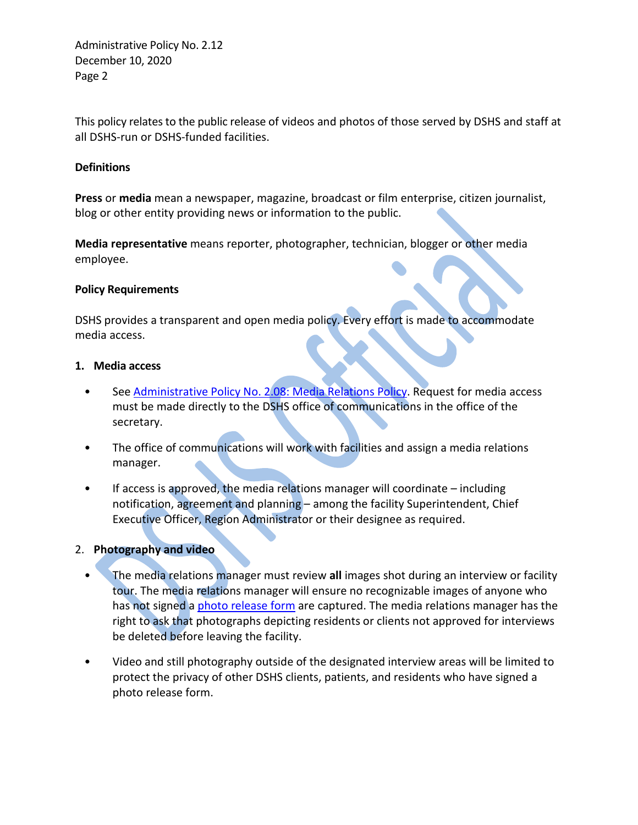Administrative Policy No. 2.12 December 10, 2020 Page 2

This policy relates to the public release of videos and photos of those served by DSHS and staff at all DSHS-run or DSHS-funded facilities.

### **Definitions**

**Press** or **media** mean a newspaper, magazine, broadcast or film enterprise, citizen journalist, blog or other entity providing news or information to the public.

**Media representative** means reporter, photographer, technician, blogger or other media employee.

### **Policy Requirements**

DSHS provides a transparent and open media policy. Every effort is made to accommodate media access.

### **1. Media access**

- See [Administrative Policy No. 2.08: Media Relations Policy.](http://one.dshs.wa.lcl/Policies/Administrative/DSHS-AP-02-08.pdf) Request for media access must be made directly to the DSHS office of communications in the office of the secretary.
- The office of communications will work with facilities and assign a media relations manager.
- If access is approved, the media relations manager will coordinate  $-$  including notification, agreement and planning – among the facility Superintendent, Chief Executive Officer, Region Administrator or their designee as required.

## 2. **Photography and video**

- The media relations manager must review **all** images shot during an interview or facility tour. The media relations manager will ensure no recognizable images of anyone who has not signed [a photo release form](http://forms.dshs.wa.lcl/formDetails.aspx?ID=14558) are captured. The media relations manager has the right to ask that photographs depicting residents or clients not approved for interviews be deleted before leaving the facility.
- Video and still photography outside of the designated interview areas will be limited to protect the privacy of other DSHS clients, patients, and residents who have signed a photo release form.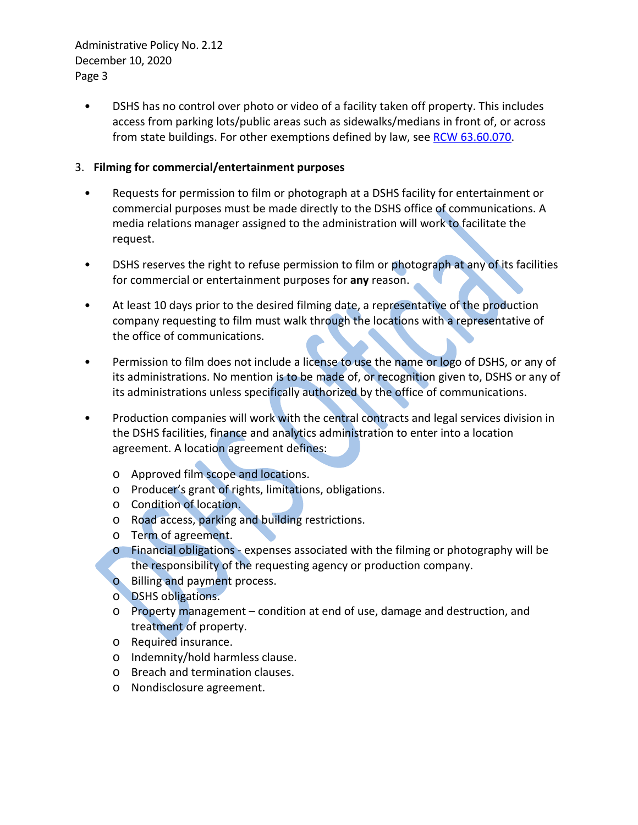Administrative Policy No. 2.12 December 10, 2020 Page 3

• DSHS has no control over photo or video of a facility taken off property. This includes access from parking lots/public areas such as sidewalks/medians in front of, or across from state buildings. For other exemptions defined by law, see [RCW 63.60.070.](https://app.leg.wa.gov/RCW/default.aspx?cite=63.60.070)

## 3. **Filming for commercial/entertainment purposes**

- Requests for permission to film or photograph at a DSHS facility for entertainment or commercial purposes must be made directly to the DSHS office of communications. A media relations manager assigned to the administration will work to facilitate the request.
- DSHS reserves the right to refuse permission to film or photograph at any of its facilities for commercial or entertainment purposes for **any** reason.
- At least 10 days prior to the desired filming date, a representative of the production company requesting to film must walk through the locations with a representative of the office of communications.
- Permission to film does not include a license to use the name or logo of DSHS, or any of its administrations. No mention is to be made of, or recognition given to, DSHS or any of its administrations unless specifically authorized by the office of communications.
- Production companies will work with the central contracts and legal services division in the DSHS facilities, finance and analytics administration to enter into a location agreement. A location agreement defines:
	- o Approved film scope and locations.
	- o Producer's grant of rights, limitations, obligations.
	- o Condition of location.
	- o Road access, parking and building restrictions.
	- o Term of agreement.
	- o Financial obligations expenses associated with the filming or photography will be the responsibility of the requesting agency or production company.
	- o Billing and payment process.
	- o DSHS obligations.
	- o Property management condition at end of use, damage and destruction, and treatment of property.
	- o Required insurance.
	- o Indemnity/hold harmless clause.
	- o Breach and termination clauses.
	- o Nondisclosure agreement.